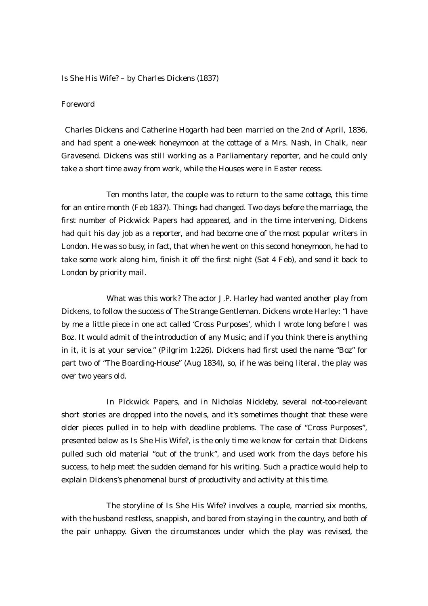#### Is She His Wife? – by Charles Dickens (1837)

## Foreword

 Charles Dickens and Catherine Hogarth had been married on the 2nd of April, 1836, and had spent a one-week honeymoon at the cottage of a Mrs. Nash, in Chalk, near Gravesend. Dickens was still working as a Parliamentary reporter, and he could only take a short time away from work, while the Houses were in Easter recess.

 Ten months later, the couple was to return to the same cottage, this time for an entire month (Feb 1837). Things had changed. Two days before the marriage, the first number of Pickwick Papers had appeared, and in the time intervening, Dickens had quit his day job as a reporter, and had become one of the most popular writers in London. He was so busy, in fact, that when he went on this second honeymoon, he had to take some work along him, finish it off the first night (Sat 4 Feb), and send it back to London by priority mail.

 What was this work? The actor J.P. Harley had wanted another play from Dickens, to follow the success of The Strange Gentleman. Dickens wrote Harley: "I have by me a little piece in one act called 'Cross Purposes', which I wrote long before I was Boz. It would admit of the introduction of any Music; and if you think there is anything in it, it is at your service." (Pilgrim 1:226). Dickens had first used the name "Boz" for part two of "The Boarding-House" (Aug 1834), so, if he was being literal, the play was over two years old.

 In Pickwick Papers, and in Nicholas Nickleby, several not-too-relevant short stories are dropped into the novels, and it's sometimes thought that these were older pieces pulled in to help with deadline problems. The case of "Cross Purposes", presented below as Is She His Wife?, is the only time we know for certain that Dickens pulled such old material "out of the trunk", and used work from the days before his success, to help meet the sudden demand for his writing. Such a practice would help to explain Dickens's phenomenal burst of productivity and activity at this time.

 The storyline of Is She His Wife? involves a couple, married six months, with the husband restless, snappish, and bored from staying in the country, and both of the pair unhappy. Given the circumstances under which the play was revised, the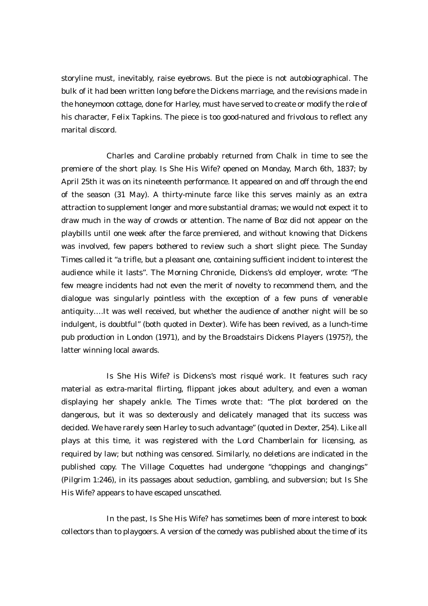storyline must, inevitably, raise eyebrows. But the piece is not autobiographical. The bulk of it had been written long before the Dickens marriage, and the revisions made in the honeymoon cottage, done for Harley, must have served to create or modify the role of his character, Felix Tapkins. The piece is too good-natured and frivolous to reflect any marital discord.

 Charles and Caroline probably returned from Chalk in time to see the premiere of the short play. Is She His Wife? opened on Monday, March 6th, 1837; by April 25th it was on its nineteenth performance. It appeared on and off through the end of the season (31 May). A thirty-minute farce like this serves mainly as an extra attraction to supplement longer and more substantial dramas; we would not expect it to draw much in the way of crowds or attention. The name of Boz did not appear on the playbills until one week after the farce premiered, and without knowing that Dickens was involved, few papers bothered to review such a short slight piece. The Sunday Times called it "a trifle, but a pleasant one, containing sufficient incident to interest the audience while it lasts". The Morning Chronicle, Dickens's old employer, wrote: "The few meagre incidents had not even the merit of novelty to recommend them, and the dialogue was singularly pointless with the exception of a few puns of venerable antiquity….It was well received, but whether the audience of another night will be so indulgent, is doubtful" (both quoted in Dexter). Wife has been revived, as a lunch-time pub production in London (1971), and by the Broadstairs Dickens Players (1975?), the latter winning local awards.

 Is She His Wife? is Dickens's most risqué work. It features such racy material as extra-marital flirting, flippant jokes about adultery, and even a woman displaying her shapely ankle. The Times wrote that: "The plot bordered on the dangerous, but it was so dexterously and delicately managed that its success was decided. We have rarely seen Harley to such advantage" (quoted in Dexter, 254). Like all plays at this time, it was registered with the Lord Chamberlain for licensing, as required by law; but nothing was censored. Similarly, no deletions are indicated in the published copy. The Village Coquettes had undergone "choppings and changings" (Pilgrim 1:246), in its passages about seduction, gambling, and subversion; but Is She His Wife? appears to have escaped unscathed.

 In the past, Is She His Wife? has sometimes been of more interest to book collectors than to playgoers. A version of the comedy was published about the time of its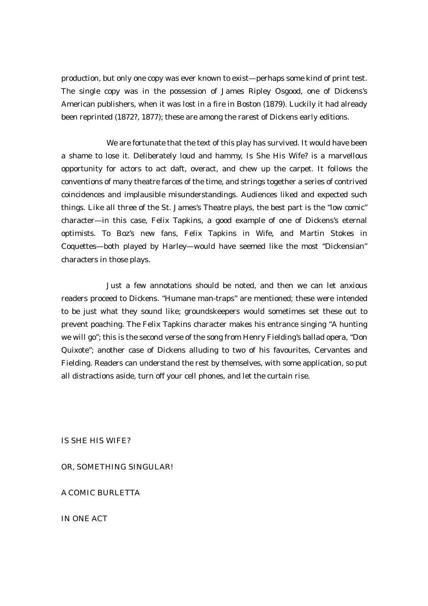production, but only one copy was ever known to exist—perhaps some kind of print test. The single copy was in the possession of James Ripley Osgood, one of Dickens's American publishers, when it was lost in a fire in Boston (1879). Luckily it had already been reprinted (1872?, 1877); these are among the rarest of Dickens early editions.

 We are fortunate that the text of this play has survived. It would have been a shame to lose it. Deliberately loud and hammy, Is She His Wife? is a marvellous opportunity for actors to act daft, overact, and chew up the carpet. It follows the conventions of many theatre farces of the time, and strings together a series of contrived coincidences and implausible misunderstandings. Audiences liked and expected such things. Like all three of the St. James's Theatre plays, the best part is the "low comic" character—in this case, Felix Tapkins, a good example of one of Dickens's eternal optimists. To Boz's new fans, Felix Tapkins in Wife, and Martin Stokes in Coquettes—both played by Harley—would have seemed like the most "Dickensian" characters in those plays.

 Just a few annotations should be noted, and then we can let anxious readers proceed to Dickens. "Humane man-traps" are mentioned; these were intended to be just what they sound like; groundskeepers would sometimes set these out to prevent poaching. The Felix Tapkins character makes his entrance singing "A hunting we will go"; this is the second verse of the song from Henry Fielding's ballad opera, "Don Quixote"; another case of Dickens alluding to two of his favourites, Cervantes and Fielding. Readers can understand the rest by themselves, with some application, so put all distractions aside, turn off your cell phones, and let the curtain rise.

IS SHE HIS WIFE?

OR, SOMETHING SINGULAR!

A COMIC BURLETTA

IN ONE ACT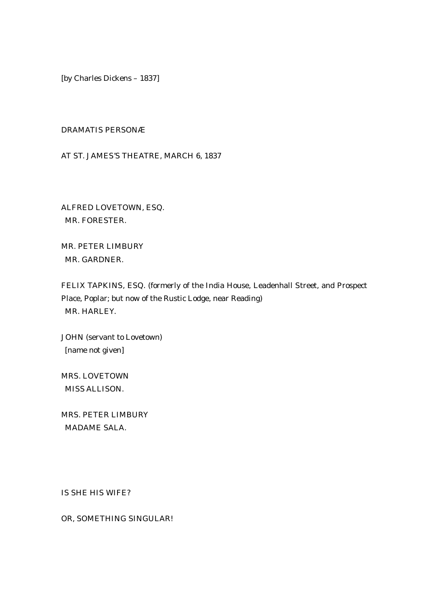[by Charles Dickens – 1837]

# DRAMATIS PERSONÆ

AT ST. JAMES'S THEATRE, MARCH 6, 1837

ALFRED LOVETOWN, ESQ. MR. FORESTER.

MR. PETER LIMBURY MR. GARDNER.

FELIX TAPKINS, ESQ. (formerly of the India House, Leadenhall Street, and Prospect Place, Poplar; but now of the Rustic Lodge, near Reading) MR. HARLEY.

JOHN (servant to Lovetown) [name not given]

MRS. LOVETOWN MISS ALLISON.

MRS. PETER LIMBURY MADAME SALA.

IS SHE HIS WIFE?

OR, SOMETHING SINGULAR!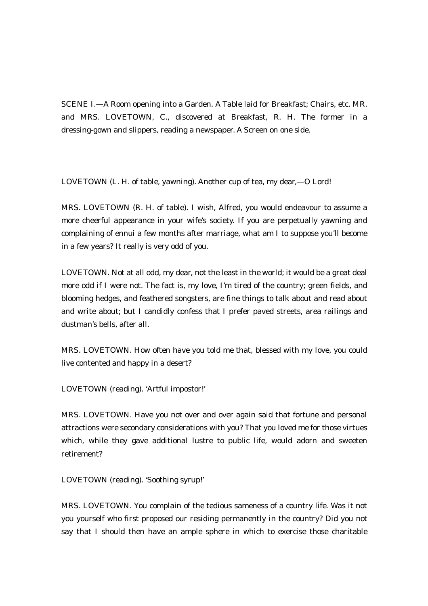SCENE I.—A Room opening into a Garden. A Table laid for Breakfast; Chairs, etc. MR. and MRS. LOVETOWN, C., discovered at Breakfast, R. H. The former in a dressing-gown and slippers, reading a newspaper. A Screen on one side.

LOVETOWN (L. H. of table, yawning). Another cup of tea, my dear,—O Lord!

MRS. LOVETOWN (R. H. of table). I wish, Alfred, you would endeavour to assume a more cheerful appearance in your wife's society. If you are perpetually yawning and complaining of ennui a few months after marriage, what am I to suppose you'll become in a few years? It really is very odd of you.

LOVETOWN. Not at all odd, my dear, not the least in the world; it would be a great deal more odd if I were not. The fact is, my love, I'm tired of the country; green fields, and blooming hedges, and feathered songsters, are fine things to talk about and read about and write about; but I candidly confess that I prefer paved streets, area railings and dustman's bells, after all.

MRS. LOVETOWN. How often have you told me that, blessed with my love, you could live contented and happy in a desert?

LOVETOWN (reading). 'Artful impostor!'

MRS. LOVETOWN. Have you not over and over again said that fortune and personal attractions were secondary considerations with you? That you loved me for those virtues which, while they gave additional lustre to public life, would adorn and sweeten retirement?

LOVETOWN (reading). 'Soothing syrup!'

MRS. LOVETOWN. You complain of the tedious sameness of a country life. Was it not you yourself who first proposed our residing permanently in the country? Did you not say that I should then have an ample sphere in which to exercise those charitable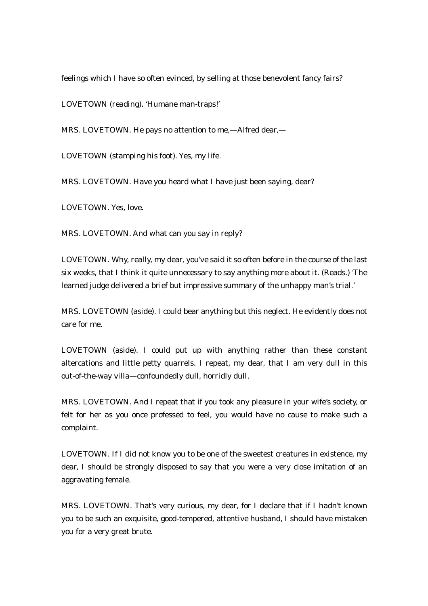feelings which I have so often evinced, by selling at those benevolent fancy fairs?

LOVETOWN (reading). 'Humane man-traps!'

MRS. LOVETOWN. He pays no attention to me,—Alfred dear,—

LOVETOWN (stamping his foot). Yes, my life.

MRS. LOVETOWN. Have you heard what I have just been saying, dear?

LOVETOWN. Yes, love.

MRS. LOVETOWN. And what can you say in reply?

LOVETOWN. Why, really, my dear, you've said it so often before in the course of the last six weeks, that I think it quite unnecessary to say anything more about it. (Reads.) 'The learned judge delivered a brief but impressive summary of the unhappy man's trial.'

MRS. LOVETOWN (aside). I could bear anything but this neglect. He evidently does not care for me.

LOVETOWN (aside). I could put up with anything rather than these constant altercations and little petty quarrels. I repeat, my dear, that I am very dull in this out-of-the-way villa—confoundedly dull, horridly dull.

MRS. LOVETOWN. And I repeat that if you took any pleasure in your wife's society, or felt for her as you once professed to feel, you would have no cause to make such a complaint.

LOVETOWN. If I did not know you to be one of the sweetest creatures in existence, my dear, I should be strongly disposed to say that you were a very close imitation of an aggravating female.

MRS. LOVETOWN. That's very curious, my dear, for I declare that if I hadn't known you to be such an exquisite, good-tempered, attentive husband, I should have mistaken you for a very great brute.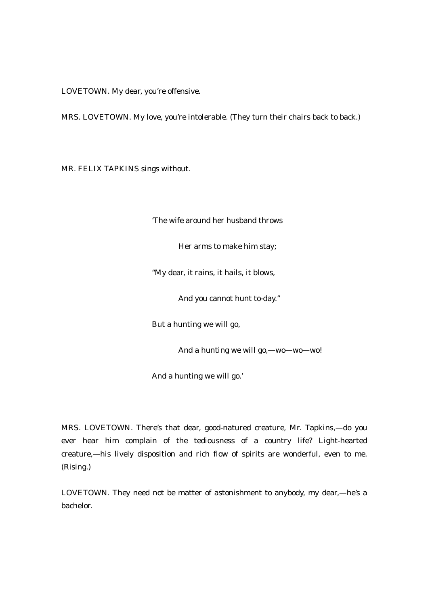LOVETOWN. My dear, you're offensive.

MRS. LOVETOWN. My love, you're intolerable. (They turn their chairs back to back.)

MR. FELIX TAPKINS sings without.

'The wife around her husband throws

Her arms to make him stay;

"My dear, it rains, it hails, it blows,

And you cannot hunt to-day."

But a hunting we will go,

And a hunting we will go,—wo—wo—wo!

And a hunting we will go.'

MRS. LOVETOWN. There's that dear, good-natured creature, Mr. Tapkins,—do you ever hear him complain of the tediousness of a country life? Light-hearted creature,—his lively disposition and rich flow of spirits are wonderful, even to me. (Rising.)

LOVETOWN. They need not be matter of astonishment to anybody, my dear,—he's a bachelor.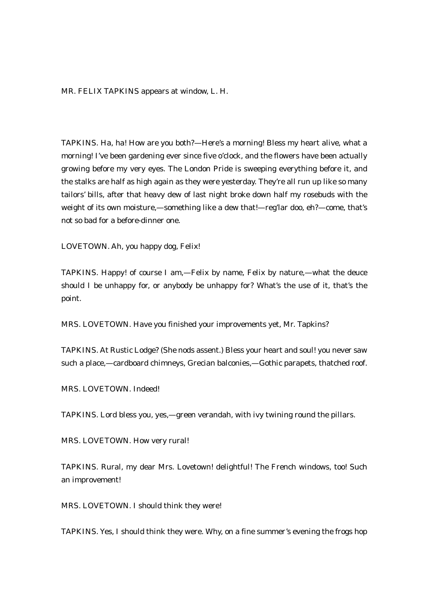MR. FELIX TAPKINS appears at window, L. H.

TAPKINS. Ha, ha! How are you both?—Here's a morning! Bless my heart alive, what a morning! I've been gardening ever since five o'clock, and the flowers have been actually growing before my very eyes. The London Pride is sweeping everything before it, and the stalks are half as high again as they were yesterday. They're all run up like so many tailors' bills, after that heavy dew of last night broke down half my rosebuds with the weight of its own moisture,—something like a dew that!—reg'lar doo, eh?—come, that's not so bad for a before-dinner one.

LOVETOWN. Ah, you happy dog, Felix!

TAPKINS. Happy! of course I am,—Felix by name, Felix by nature,—what the deuce should I be unhappy for, or anybody be unhappy for? What's the use of it, that's the point.

MRS. LOVETOWN. Have you finished your improvements yet, Mr. Tapkins?

TAPKINS. At Rustic Lodge? (She nods assent.) Bless your heart and soul! you never saw such a place,—cardboard chimneys, Grecian balconies,—Gothic parapets, thatched roof.

MRS. LOVETOWN. Indeed!

TAPKINS. Lord bless you, yes,—green verandah, with ivy twining round the pillars.

MRS. LOVETOWN. How very rural!

TAPKINS. Rural, my dear Mrs. Lovetown! delightful! The French windows, too! Such an improvement!

MRS. LOVETOWN. I should think they were!

TAPKINS. Yes, I should think they were. Why, on a fine summer's evening the frogs hop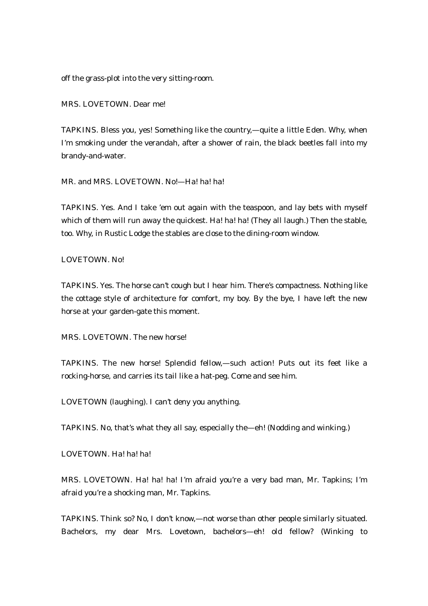off the grass-plot into the very sitting-room.

MRS. LOVETOWN. Dear me!

TAPKINS. Bless you, yes! Something like the country,—quite a little Eden. Why, when I'm smoking under the verandah, after a shower of rain, the black beetles fall into my brandy-and-water.

MR. and MRS. LOVETOWN. No!-Ha! ha! ha!

TAPKINS. Yes. And I take 'em out again with the teaspoon, and lay bets with myself which of them will run away the quickest. Ha! ha! ha! (They all laugh.) Then the stable, too. Why, in Rustic Lodge the stables are close to the dining-room window.

## LOVETOWN. No!

TAPKINS. Yes. The horse can't cough but I hear him. There's compactness. Nothing like the cottage style of architecture for comfort, my boy. By the bye, I have left the new horse at your garden-gate this moment.

MRS. LOVETOWN. The new horse!

TAPKINS. The new horse! Splendid fellow,—such action! Puts out its feet like a rocking-horse, and carries its tail like a hat-peg. Come and see him.

LOVETOWN (laughing). I can't deny you anything.

TAPKINS. No, that's what they all say, especially the—eh! (Nodding and winking.)

LOVETOWN. Ha! ha! ha!

MRS. LOVETOWN. Ha! ha! ha! I'm afraid you're a very bad man, Mr. Tapkins; I'm afraid you're a shocking man, Mr. Tapkins.

TAPKINS. Think so? No, I don't know,—not worse than other people similarly situated. Bachelors, my dear Mrs. Lovetown, bachelors—eh! old fellow? (Winking to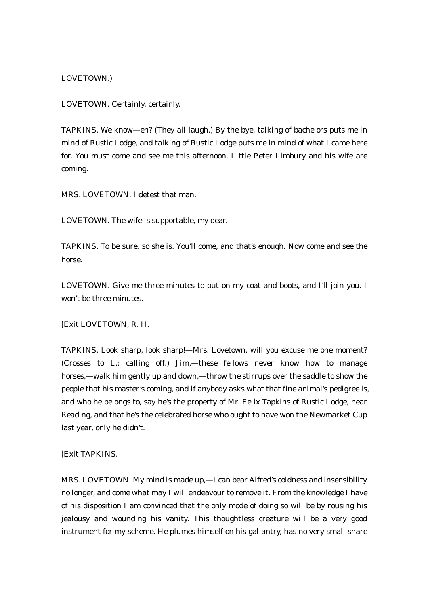# LOVETOWN.)

LOVETOWN. Certainly, certainly.

TAPKINS. We know—eh? (They all laugh.) By the bye, talking of bachelors puts me in mind of Rustic Lodge, and talking of Rustic Lodge puts me in mind of what I came here for. You must come and see me this afternoon. Little Peter Limbury and his wife are coming.

MRS. LOVETOWN. I detest that man.

LOVETOWN. The wife is supportable, my dear.

TAPKINS. To be sure, so she is. You'll come, and that's enough. Now come and see the horse.

LOVETOWN. Give me three minutes to put on my coat and boots, and I'll join you. I won't be three minutes.

[Exit LOVETOWN, R. H.

TAPKINS. Look sharp, look sharp!—Mrs. Lovetown, will you excuse me one moment? (Crosses to L.; calling off.) Jim,—these fellows never know how to manage horses,—walk him gently up and down,—throw the stirrups over the saddle to show the people that his master's coming, and if anybody asks what that fine animal's pedigree is, and who he belongs to, say he's the property of Mr. Felix Tapkins of Rustic Lodge, near Reading, and that he's the celebrated horse who ought to have won the Newmarket Cup last year, only he didn't.

**[Exit TAPKINS.** 

MRS. LOVETOWN. My mind is made up,—I can bear Alfred's coldness and insensibility no longer, and come what may I will endeavour to remove it. From the knowledge I have of his disposition I am convinced that the only mode of doing so will be by rousing his jealousy and wounding his vanity. This thoughtless creature will be a very good instrument for my scheme. He plumes himself on his gallantry, has no very small share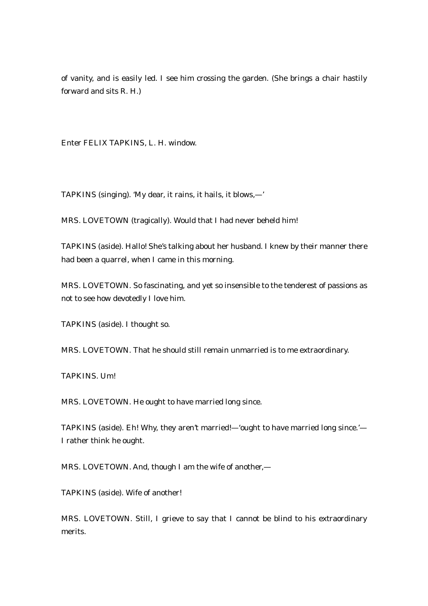of vanity, and is easily led. I see him crossing the garden. (She brings a chair hastily forward and sits R. H.)

Enter FELIX TAPKINS, L. H. window.

TAPKINS (singing). 'My dear, it rains, it hails, it blows,—'

MRS. LOVETOWN (tragically). Would that I had never beheld him!

TAPKINS (aside). Hallo! She's talking about her husband. I knew by their manner there had been a quarrel, when I came in this morning.

MRS. LOVETOWN. So fascinating, and yet so insensible to the tenderest of passions as not to see how devotedly I love him.

TAPKINS (aside). I thought so.

MRS. LOVETOWN. That he should still remain unmarried is to me extraordinary.

TAPKINS. Um!

MRS. LOVETOWN. He ought to have married long since.

TAPKINS (aside). Eh! Why, they aren't married!—'ought to have married long since.'— I rather think he ought.

MRS. LOVETOWN. And, though I am the wife of another,—

TAPKINS (aside). Wife of another!

MRS. LOVETOWN. Still, I grieve to say that I cannot be blind to his extraordinary merits.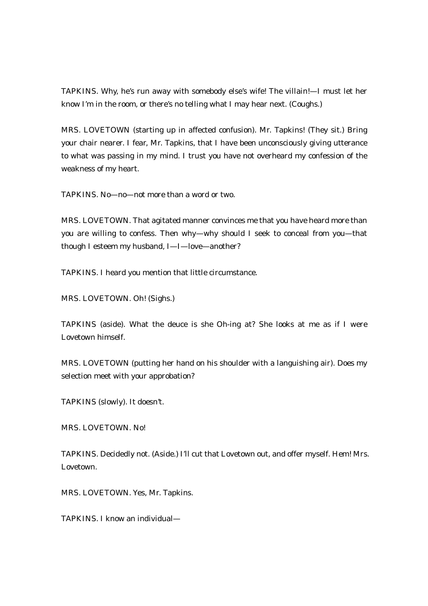TAPKINS. Why, he's run away with somebody else's wife! The villain!—I must let her know I'm in the room, or there's no telling what I may hear next. (Coughs.)

MRS. LOVETOWN (starting up in affected confusion). Mr. Tapkins! (They sit.) Bring your chair nearer. I fear, Mr. Tapkins, that I have been unconsciously giving utterance to what was passing in my mind. I trust you have not overheard my confession of the weakness of my heart.

TAPKINS. No—no—not more than a word or two.

MRS. LOVETOWN. That agitated manner convinces me that you have heard more than you are willing to confess. Then why—why should I seek to conceal from you—that though I esteem my husband, I—I—love—another?

TAPKINS. I heard you mention that little circumstance.

MRS. LOVETOWN. Oh! (Sighs.)

TAPKINS (aside). What the deuce is she Oh-ing at? She looks at me as if I were Lovetown himself.

MRS. LOVETOWN (putting her hand on his shoulder with a languishing air). Does my selection meet with your approbation?

TAPKINS (slowly). It doesn't.

MRS. LOVETOWN. No!

TAPKINS. Decidedly not. (Aside.) I'll cut that Lovetown out, and offer myself. Hem! Mrs. Lovetown.

MRS. LOVETOWN. Yes, Mr. Tapkins.

TAPKINS. I know an individual—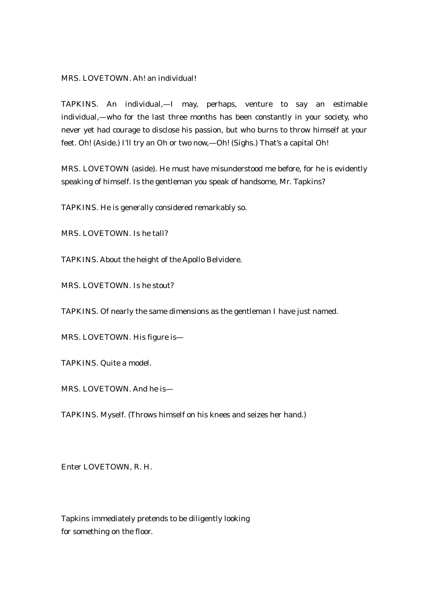MRS. LOVETOWN. Ah! an individual!

TAPKINS. An individual,—I may, perhaps, venture to say an estimable individual,—who for the last three months has been constantly in your society, who never yet had courage to disclose his passion, but who burns to throw himself at your feet. Oh! (Aside.) I'll try an Oh or two now,—Oh! (Sighs.) That's a capital Oh!

MRS. LOVETOWN (aside). He must have misunderstood me before, for he is evidently speaking of himself. Is the gentleman you speak of handsome, Mr. Tapkins?

TAPKINS. He is generally considered remarkably so.

MRS. LOVETOWN. Is he tall?

TAPKINS. About the height of the Apollo Belvidere.

MRS. LOVETOWN. Is he stout?

TAPKINS. Of nearly the same dimensions as the gentleman I have just named.

MRS. LOVETOWN. His figure is—

TAPKINS. Quite a model.

MRS. LOVETOWN. And he is—

TAPKINS. Myself. (Throws himself on his knees and seizes her hand.)

Enter LOVETOWN, R. H.

Tapkins immediately pretends to be diligently looking for something on the floor.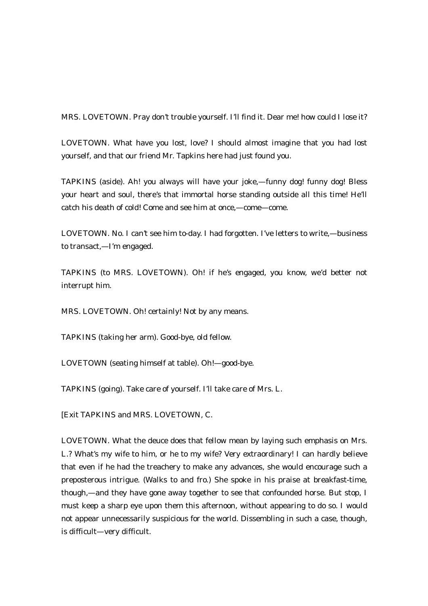MRS. LOVETOWN. Pray don't trouble yourself. I'll find it. Dear me! how could I lose it?

LOVETOWN. What have you lost, love? I should almost imagine that you had lost yourself, and that our friend Mr. Tapkins here had just found you.

TAPKINS (aside). Ah! you always will have your joke,—funny dog! funny dog! Bless your heart and soul, there's that immortal horse standing outside all this time! He'll catch his death of cold! Come and see him at once,—come—come.

LOVETOWN. No. I can't see him to-day. I had forgotten. I've letters to write,—business to transact,—I'm engaged.

TAPKINS (to MRS. LOVETOWN). Oh! if he's engaged, you know, we'd better not interrupt him.

MRS. LOVETOWN. Oh! certainly! Not by any means.

TAPKINS (taking her arm). Good-bye, old fellow.

LOVETOWN (seating himself at table). Oh!—good-bye.

TAPKINS (going). Take care of yourself. I'll take care of Mrs. L.

[Exit TAPKINS and MRS. LOVETOWN, C.

LOVETOWN. What the deuce does that fellow mean by laying such emphasis on Mrs. L.? What's my wife to him, or he to my wife? Very extraordinary! I can hardly believe that even if he had the treachery to make any advances, she would encourage such a preposterous intrigue. (Walks to and fro.) She spoke in his praise at breakfast-time, though,—and they have gone away together to see that confounded horse. But stop, I must keep a sharp eye upon them this afternoon, without appearing to do so. I would not appear unnecessarily suspicious for the world. Dissembling in such a case, though, is difficult—very difficult.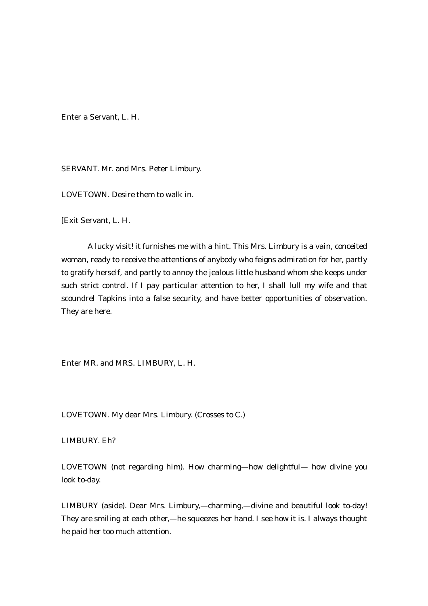Enter a Servant, L. H.

SERVANT. Mr. and Mrs. Peter Limbury.

LOVETOWN. Desire them to walk in.

[Exit Servant, L. H.

 A lucky visit! it furnishes me with a hint. This Mrs. Limbury is a vain, conceited woman, ready to receive the attentions of anybody who feigns admiration for her, partly to gratify herself, and partly to annoy the jealous little husband whom she keeps under such strict control. If I pay particular attention to her, I shall lull my wife and that scoundrel Tapkins into a false security, and have better opportunities of observation. They are here.

Enter MR. and MRS. LIMBURY, L. H.

LOVETOWN. My dear Mrs. Limbury. (Crosses to C.)

LIMBURY. Eh?

LOVETOWN (not regarding him). How charming—how delightful— how divine you look to-day.

LIMBURY (aside). Dear Mrs. Limbury,—charming,—divine and beautiful look to-day! They are smiling at each other,—he squeezes her hand. I see how it is. I always thought he paid her too much attention.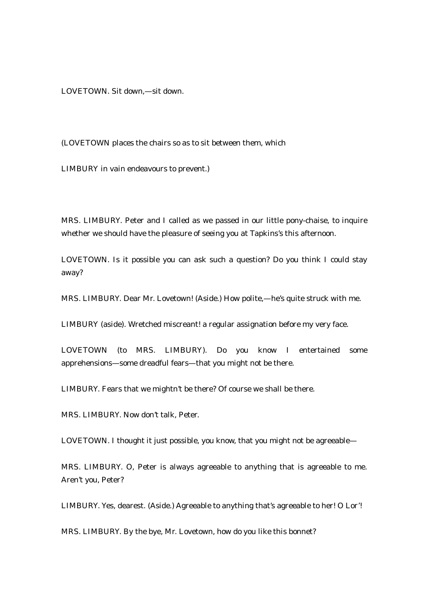LOVETOWN. Sit down,—sit down.

(LOVETOWN places the chairs so as to sit between them, which

LIMBURY in vain endeavours to prevent.)

MRS. LIMBURY. Peter and I called as we passed in our little pony-chaise, to inquire whether we should have the pleasure of seeing you at Tapkins's this afternoon.

LOVETOWN. Is it possible you can ask such a question? Do you think I could stay away?

MRS. LIMBURY. Dear Mr. Lovetown! (Aside.) How polite,—he's quite struck with me.

LIMBURY (aside). Wretched miscreant! a regular assignation before my very face.

LOVETOWN (to MRS. LIMBURY). Do you know I entertained some apprehensions—some dreadful fears—that you might not be there.

LIMBURY. Fears that we mightn't be there? Of course we shall be there.

MRS. LIMBURY. Now don't talk, Peter.

LOVETOWN. I thought it just possible, you know, that you might not be agreeable—

MRS. LIMBURY. O, Peter is always agreeable to anything that is agreeable to me. Aren't you, Peter?

LIMBURY. Yes, dearest. (Aside.) Agreeable to anything that's agreeable to her! O Lor'!

MRS. LIMBURY. By the bye, Mr. Lovetown, how do you like this bonnet?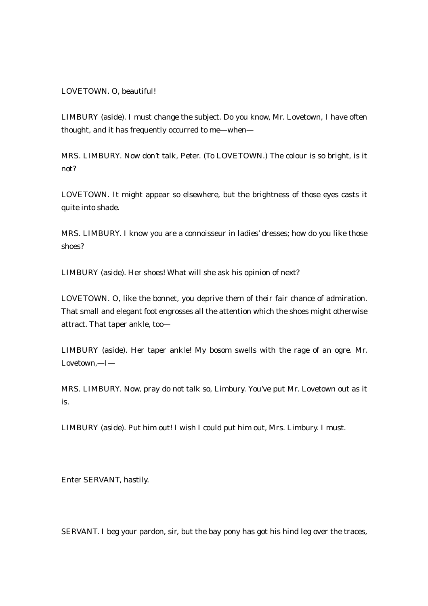LOVETOWN. O, beautiful!

LIMBURY (aside). I must change the subject. Do you know, Mr. Lovetown, I have often thought, and it has frequently occurred to me—when—

MRS. LIMBURY. Now don't talk, Peter. (To LOVETOWN.) The colour is so bright, is it not?

LOVETOWN. It might appear so elsewhere, but the brightness of those eyes casts it quite into shade.

MRS. LIMBURY. I know you are a connoisseur in ladies' dresses; how do you like those shoes?

LIMBURY (aside). Her shoes! What will she ask his opinion of next?

LOVETOWN. O, like the bonnet, you deprive them of their fair chance of admiration. That small and elegant foot engrosses all the attention which the shoes might otherwise attract. That taper ankle, too—

LIMBURY (aside). Her taper ankle! My bosom swells with the rage of an ogre. Mr. Lovetown,—I—

MRS. LIMBURY. Now, pray do not talk so, Limbury. You've put Mr. Lovetown out as it is.

LIMBURY (aside). Put him out! I wish I could put him out, Mrs. Limbury. I must.

Enter SERVANT, hastily.

SERVANT. I beg your pardon, sir, but the bay pony has got his hind leg over the traces,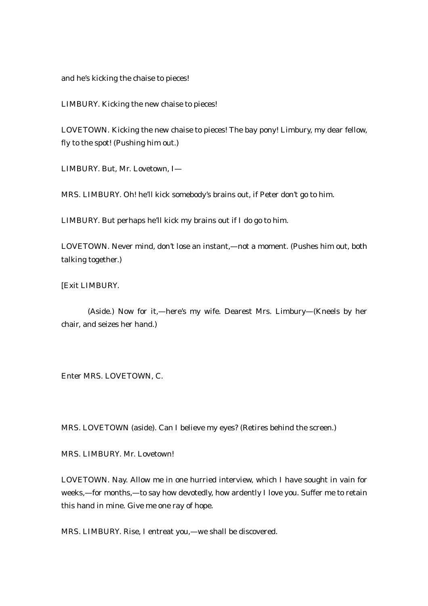and he's kicking the chaise to pieces!

LIMBURY. Kicking the new chaise to pieces!

LOVETOWN. Kicking the new chaise to pieces! The bay pony! Limbury, my dear fellow, fly to the spot! (Pushing him out.)

LIMBURY. But, Mr. Lovetown, I—

MRS. LIMBURY. Oh! he'll kick somebody's brains out, if Peter don't go to him.

LIMBURY. But perhaps he'll kick my brains out if I do go to him.

LOVETOWN. Never mind, don't lose an instant,—not a moment. (Pushes him out, both talking together.)

[Exit LIMBURY.

 (Aside.) Now for it,—here's my wife. Dearest Mrs. Limbury—(Kneels by her chair, and seizes her hand.)

Enter MRS. LOVETOWN, C.

MRS. LOVETOWN (aside). Can I believe my eyes? (Retires behind the screen.)

MRS. LIMBURY. Mr. Lovetown!

LOVETOWN. Nay. Allow me in one hurried interview, which I have sought in vain for weeks,—for months,—to say how devotedly, how ardently I love you. Suffer me to retain this hand in mine. Give me one ray of hope.

MRS. LIMBURY. Rise, I entreat you,—we shall be discovered.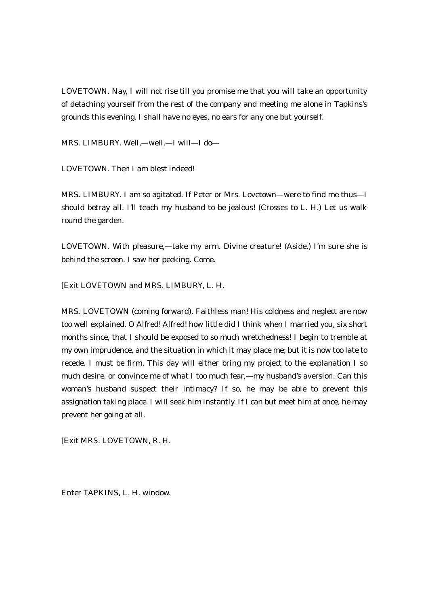LOVETOWN. Nay, I will not rise till you promise me that you will take an opportunity of detaching yourself from the rest of the company and meeting me alone in Tapkins's grounds this evening. I shall have no eyes, no ears for any one but yourself.

MRS. LIMBURY. Well,—well,—I will—I do—

LOVETOWN. Then I am blest indeed!

MRS. LIMBURY. I am so agitated. If Peter or Mrs. Lovetown—were to find me thus—I should betray all. I'll teach my husband to be jealous! (Crosses to L. H.) Let us walk round the garden.

LOVETOWN. With pleasure,—take my arm. Divine creature! (Aside.) I'm sure she is behind the screen. I saw her peeking. Come.

[Exit LOVETOWN and MRS. LIMBURY, L. H.

MRS. LOVETOWN (coming forward). Faithless man! His coldness and neglect are now too well explained. O Alfred! Alfred! how little did I think when I married you, six short months since, that I should be exposed to so much wretchedness! I begin to tremble at my own imprudence, and the situation in which it may place me; but it is now too late to recede. I must be firm. This day will either bring my project to the explanation I so much desire, or convince me of what I too much fear,—my husband's aversion. Can this woman's husband suspect their intimacy? If so, he may be able to prevent this assignation taking place. I will seek him instantly. If I can but meet him at once, he may prevent her going at all.

[Exit MRS. LOVETOWN, R. H.

Enter TAPKINS, L. H. window.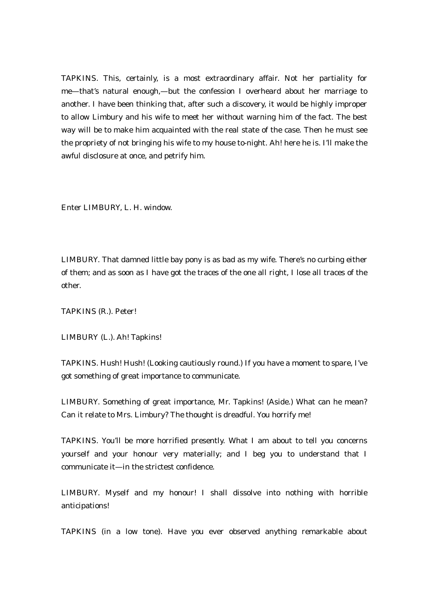TAPKINS. This, certainly, is a most extraordinary affair. Not her partiality for me—that's natural enough,—but the confession I overheard about her marriage to another. I have been thinking that, after such a discovery, it would be highly improper to allow Limbury and his wife to meet her without warning him of the fact. The best way will be to make him acquainted with the real state of the case. Then he must see the propriety of not bringing his wife to my house to-night. Ah! here he is. I'll make the awful disclosure at once, and petrify him.

Enter LIMBURY, L. H. window.

LIMBURY. That damned little bay pony is as bad as my wife. There's no curbing either of them; and as soon as I have got the traces of the one all right, I lose all traces of the other.

TAPKINS (R.). Peter!

LIMBURY (L.). Ah! Tapkins!

TAPKINS. Hush! Hush! (Looking cautiously round.) If you have a moment to spare, I've got something of great importance to communicate.

LIMBURY. Something of great importance, Mr. Tapkins! (Aside.) What can he mean? Can it relate to Mrs. Limbury? The thought is dreadful. You horrify me!

TAPKINS. You'll be more horrified presently. What I am about to tell you concerns yourself and your honour very materially; and I beg you to understand that I communicate it—in the strictest confidence.

LIMBURY. Myself and my honour! I shall dissolve into nothing with horrible anticipations!

TAPKINS (in a low tone). Have you ever observed anything remarkable about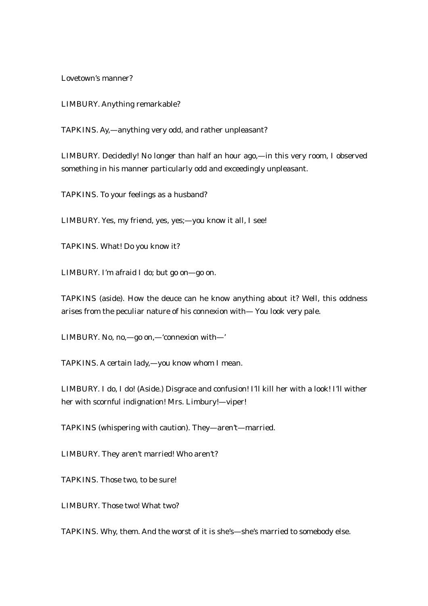Lovetown's manner?

LIMBURY. Anything remarkable?

TAPKINS. Ay,—anything very odd, and rather unpleasant?

LIMBURY. Decidedly! No longer than half an hour ago,—in this very room, I observed something in his manner particularly odd and exceedingly unpleasant.

TAPKINS. To your feelings as a husband?

LIMBURY. Yes, my friend, yes, yes;—you know it all, I see!

TAPKINS. What! Do you know it?

LIMBURY. I'm afraid I do; but go on—go on.

TAPKINS (aside). How the deuce can he know anything about it? Well, this oddness arises from the peculiar nature of his connexion with— You look very pale.

LIMBURY. No, no,—go on,—'connexion with—'

TAPKINS. A certain lady,—you know whom I mean.

LIMBURY. I do, I do! (Aside.) Disgrace and confusion! I'll kill her with a look! I'll wither her with scornful indignation! Mrs. Limbury!—viper!

TAPKINS (whispering with caution). They—aren't—married.

LIMBURY. They aren't married! Who aren't?

TAPKINS. Those two, to be sure!

LIMBURY. Those two! What two?

TAPKINS. Why, them. And the worst of it is she's—she's married to somebody else.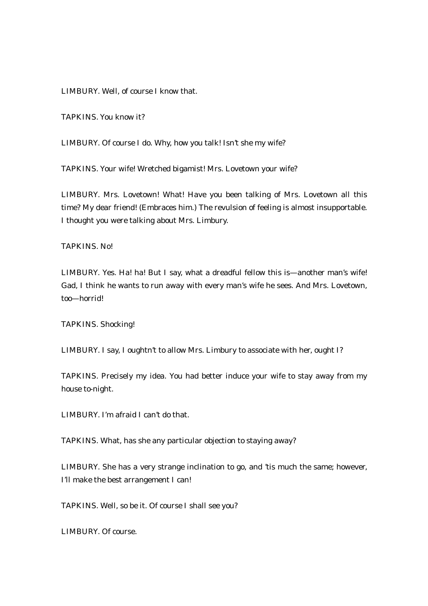LIMBURY. Well, of course I know that.

TAPKINS. You know it?

LIMBURY. Of course I do. Why, how you talk! Isn't she my wife?

TAPKINS. Your wife! Wretched bigamist! Mrs. Lovetown your wife?

LIMBURY. Mrs. Lovetown! What! Have you been talking of Mrs. Lovetown all this time? My dear friend! (Embraces him.) The revulsion of feeling is almost insupportable. I thought you were talking about Mrs. Limbury.

TAPKINS. No!

LIMBURY. Yes. Ha! ha! But I say, what a dreadful fellow this is—another man's wife! Gad, I think he wants to run away with every man's wife he sees. And Mrs. Lovetown, too—horrid!

TAPKINS. Shocking!

LIMBURY. I say, I oughtn't to allow Mrs. Limbury to associate with her, ought I?

TAPKINS. Precisely my idea. You had better induce your wife to stay away from my house to-night.

LIMBURY. I'm afraid I can't do that.

TAPKINS. What, has she any particular objection to staying away?

LIMBURY. She has a very strange inclination to go, and 'tis much the same; however, I'll make the best arrangement I can!

TAPKINS. Well, so be it. Of course I shall see you?

LIMBURY. Of course.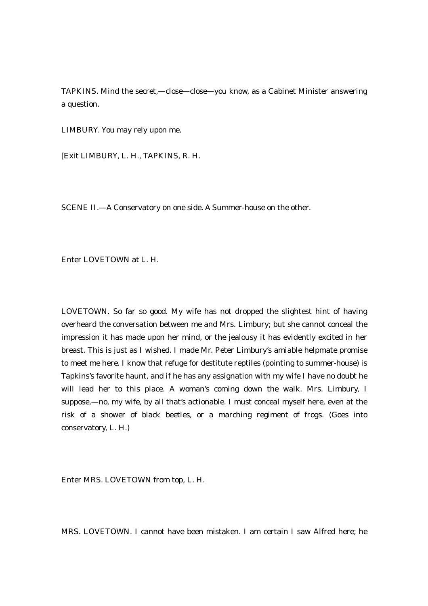TAPKINS. Mind the secret,—close—close—you know, as a Cabinet Minister answering a question.

LIMBURY. You may rely upon me.

[Exit LIMBURY, L. H., TAPKINS, R. H.

SCENE II.—A Conservatory on one side. A Summer-house on the other.

Enter LOVETOWN at L. H.

LOVETOWN. So far so good. My wife has not dropped the slightest hint of having overheard the conversation between me and Mrs. Limbury; but she cannot conceal the impression it has made upon her mind, or the jealousy it has evidently excited in her breast. This is just as I wished. I made Mr. Peter Limbury's amiable helpmate promise to meet me here. I know that refuge for destitute reptiles (pointing to summer-house) is Tapkins's favorite haunt, and if he has any assignation with my wife I have no doubt he will lead her to this place. A woman's coming down the walk. Mrs. Limbury, I suppose,—no, my wife, by all that's actionable. I must conceal myself here, even at the risk of a shower of black beetles, or a marching regiment of frogs. (Goes into conservatory, L. H.)

Enter MRS. LOVETOWN from top, L. H.

MRS. LOVETOWN. I cannot have been mistaken. I am certain I saw Alfred here; he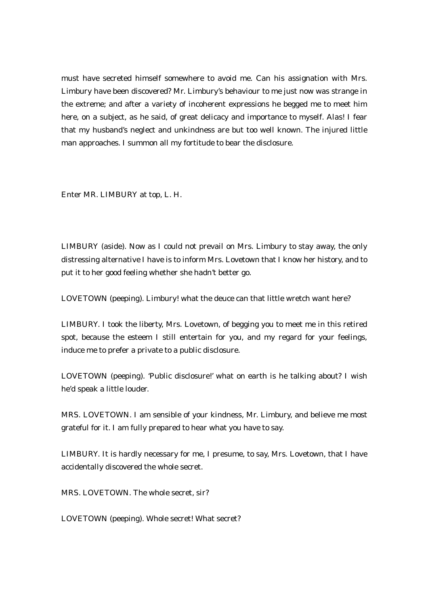must have secreted himself somewhere to avoid me. Can his assignation with Mrs. Limbury have been discovered? Mr. Limbury's behaviour to me just now was strange in the extreme; and after a variety of incoherent expressions he begged me to meet him here, on a subject, as he said, of great delicacy and importance to myself. Alas! I fear that my husband's neglect and unkindness are but too well known. The injured little man approaches. I summon all my fortitude to bear the disclosure.

Enter MR. LIMBURY at top, L. H.

LIMBURY (aside). Now as I could not prevail on Mrs. Limbury to stay away, the only distressing alternative I have is to inform Mrs. Lovetown that I know her history, and to put it to her good feeling whether she hadn't better go.

LOVETOWN (peeping). Limbury! what the deuce can that little wretch want here?

LIMBURY. I took the liberty, Mrs. Lovetown, of begging you to meet me in this retired spot, because the esteem I still entertain for you, and my regard for your feelings, induce me to prefer a private to a public disclosure.

LOVETOWN (peeping). 'Public disclosure!' what on earth is he talking about? I wish he'd speak a little louder.

MRS. LOVETOWN. I am sensible of your kindness, Mr. Limbury, and believe me most grateful for it. I am fully prepared to hear what you have to say.

LIMBURY. It is hardly necessary for me, I presume, to say, Mrs. Lovetown, that I have accidentally discovered the whole secret.

MRS. LOVETOWN. The whole secret, sir?

LOVETOWN (peeping). Whole secret! What secret?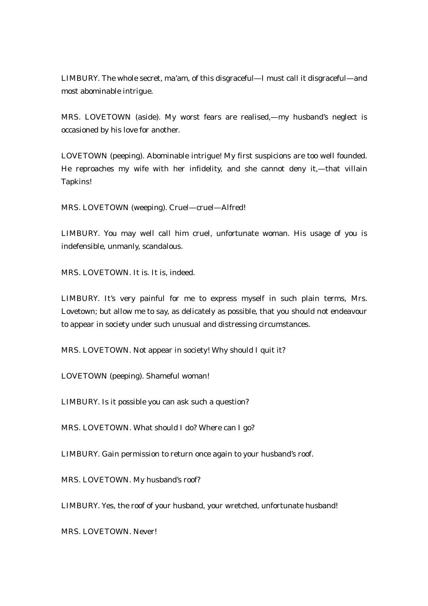LIMBURY. The whole secret, ma'am, of this disgraceful—I must call it disgraceful—and most abominable intrigue.

MRS. LOVETOWN (aside). My worst fears are realised,—my husband's neglect is occasioned by his love for another.

LOVETOWN (peeping). Abominable intrigue! My first suspicions are too well founded. He reproaches my wife with her infidelity, and she cannot deny it,—that villain Tapkins!

MRS. LOVETOWN (weeping). Cruel—cruel—Alfred!

LIMBURY. You may well call him cruel, unfortunate woman. His usage of you is indefensible, unmanly, scandalous.

MRS. LOVETOWN. It is. It is, indeed.

LIMBURY. It's very painful for me to express myself in such plain terms, Mrs. Lovetown; but allow me to say, as delicately as possible, that you should not endeavour to appear in society under such unusual and distressing circumstances.

MRS. LOVETOWN. Not appear in society! Why should I quit it?

LOVETOWN (peeping). Shameful woman!

LIMBURY. Is it possible you can ask such a question?

MRS. LOVETOWN. What should I do? Where can I go?

LIMBURY. Gain permission to return once again to your husband's roof.

MRS. LOVETOWN. My husband's roof?

LIMBURY. Yes, the roof of your husband, your wretched, unfortunate husband!

MRS. LOVETOWN. Never!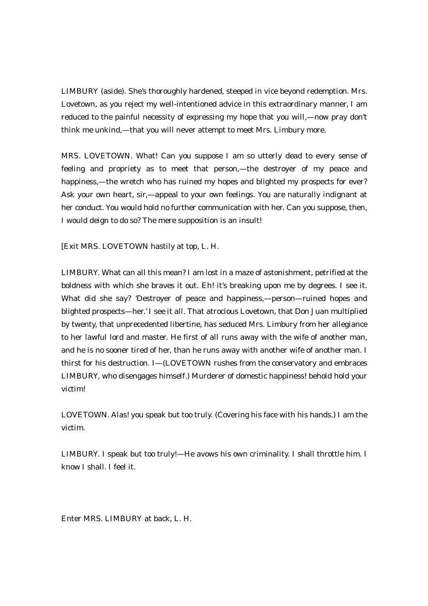LIMBURY (aside). She's thoroughly hardened, steeped in vice beyond redemption. Mrs. Lovetown, as you reject my well-intentioned advice in this extraordinary manner, I am reduced to the painful necessity of expressing my hope that you will,—now pray don't think me unkind,—that you will never attempt to meet Mrs. Limbury more.

MRS. LOVETOWN. What! Can you suppose I am so utterly dead to every sense of feeling and propriety as to meet that person,—the destroyer of my peace and happiness,—the wretch who has ruined my hopes and blighted my prospects for ever? Ask your own heart, sir,—appeal to your own feelings. You are naturally indignant at her conduct. You would hold no further communication with her. Can you suppose, then, I would deign to do so? The mere supposition is an insult!

[Exit MRS. LOVETOWN hastily at top, L. H.

LIMBURY. What can all this mean? I am lost in a maze of astonishment, petrified at the boldness with which she braves it out. Eh! it's breaking upon me by degrees. I see it. What did she say? 'Destroyer of peace and happiness,—person—ruined hopes and blighted prospects—her.' I see it all. That atrocious Lovetown, that Don Juan multiplied by twenty, that unprecedented libertine, has seduced Mrs. Limbury from her allegiance to her lawful lord and master. He first of all runs away with the wife of another man, and he is no sooner tired of her, than he runs away with another wife of another man. I thirst for his destruction. I—(LOVETOWN rushes from the conservatory and embraces LIMBURY, who disengages himself.) Murderer of domestic happiness! behold hold your victim!

LOVETOWN. Alas! you speak but too truly. (Covering his face with his hands.) I am the victim.

LIMBURY. I speak but too truly!—He avows his own criminality. I shall throttle him. I know I shall. I feel it.

Enter MRS. LIMBURY at back, L. H.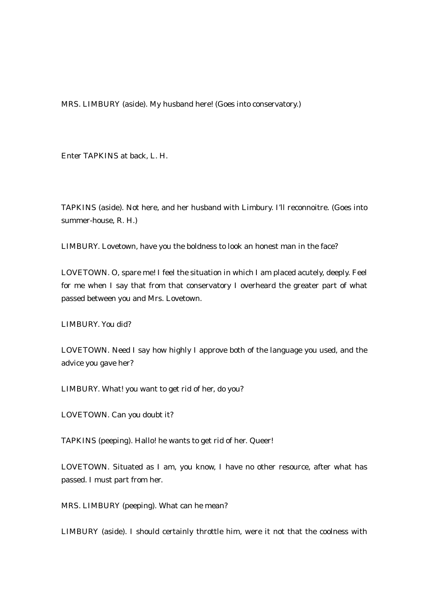MRS. LIMBURY (aside). My husband here! (Goes into conservatory.)

Enter TAPKINS at back, L. H.

TAPKINS (aside). Not here, and her husband with Limbury. I'll reconnoitre. (Goes into summer-house, R. H.)

LIMBURY. Lovetown, have you the boldness to look an honest man in the face?

LOVETOWN. O, spare me! I feel the situation in which I am placed acutely, deeply. Feel for me when I say that from that conservatory I overheard the greater part of what passed between you and Mrs. Lovetown.

LIMBURY. You did?

LOVETOWN. Need I say how highly I approve both of the language you used, and the advice you gave her?

LIMBURY. What! you want to get rid of her, do you?

LOVETOWN. Can you doubt it?

TAPKINS (peeping). Hallo! he wants to get rid of her. Queer!

LOVETOWN. Situated as I am, you know, I have no other resource, after what has passed. I must part from her.

MRS. LIMBURY (peeping). What can he mean?

LIMBURY (aside). I should certainly throttle him, were it not that the coolness with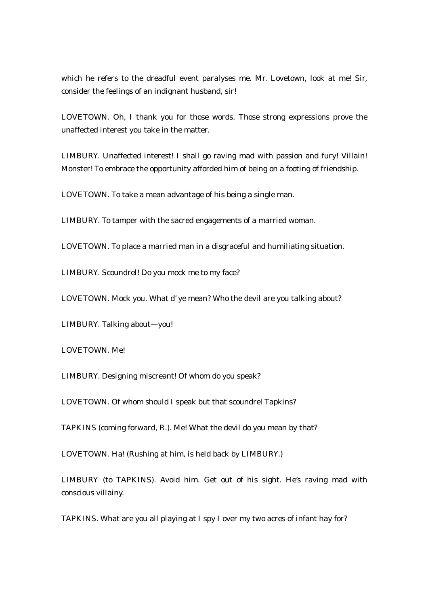which he refers to the dreadful event paralyses me. Mr. Lovetown, look at me! Sir, consider the feelings of an indignant husband, sir!

LOVETOWN. Oh, I thank you for those words. Those strong expressions prove the unaffected interest you take in the matter.

LIMBURY. Unaffected interest! I shall go raving mad with passion and fury! Villain! Monster! To embrace the opportunity afforded him of being on a footing of friendship.

LOVETOWN. To take a mean advantage of his being a single man.

LIMBURY. To tamper with the sacred engagements of a married woman.

LOVETOWN. To place a married man in a disgraceful and humiliating situation.

LIMBURY. Scoundrel! Do you mock me to my face?

LOVETOWN. Mock you. What d' ye mean? Who the devil are you talking about?

LIMBURY. Talking about—you!

LOVETOWN. Me!

LIMBURY. Designing miscreant! Of whom do you speak?

LOVETOWN. Of whom should I speak but that scoundrel Tapkins?

TAPKINS (coming forward, R.). Me! What the devil do you mean by that?

LOVETOWN. Ha! (Rushing at him, is held back by LIMBURY.)

LIMBURY (to TAPKINS). Avoid him. Get out of his sight. He's raving mad with conscious villainy.

TAPKINS. What are you all playing at I spy I over my two acres of infant hay for?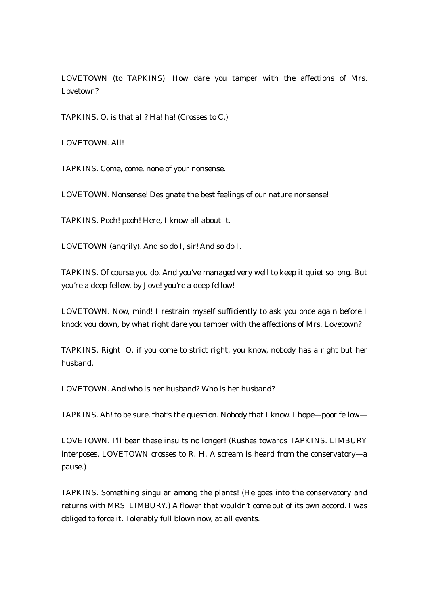LOVETOWN (to TAPKINS). How dare you tamper with the affections of Mrs. Lovetown?

TAPKINS. O, is that all? Ha! ha! (Crosses to C.)

LOVETOWN. All!

TAPKINS. Come, come, none of your nonsense.

LOVETOWN. Nonsense! Designate the best feelings of our nature nonsense!

TAPKINS. Pooh! pooh! Here, I know all about it.

LOVETOWN (angrily). And so do I, sir! And so do I.

TAPKINS. Of course you do. And you've managed very well to keep it quiet so long. But you're a deep fellow, by Jove! you're a deep fellow!

LOVETOWN. Now, mind! I restrain myself sufficiently to ask you once again before I knock you down, by what right dare you tamper with the affections of Mrs. Lovetown?

TAPKINS. Right! O, if you come to strict right, you know, nobody has a right but her husband.

LOVETOWN. And who is her husband? Who is her husband?

TAPKINS. Ah! to be sure, that's the question. Nobody that I know. I hope—poor fellow—

LOVETOWN. I'll bear these insults no longer! (Rushes towards TAPKINS. LIMBURY interposes. LOVETOWN crosses to R. H. A scream is heard from the conservatory—a pause.)

TAPKINS. Something singular among the plants! (He goes into the conservatory and returns with MRS. LIMBURY.) A flower that wouldn't come out of its own accord. I was obliged to force it. Tolerably full blown now, at all events.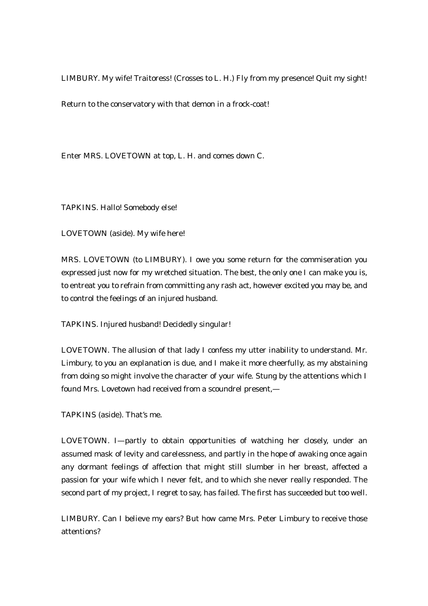LIMBURY. My wife! Traitoress! (Crosses to L. H.) Fly from my presence! Quit my sight!

Return to the conservatory with that demon in a frock-coat!

Enter MRS. LOVETOWN at top, L. H. and comes down C.

TAPKINS. Hallo! Somebody else!

LOVETOWN (aside). My wife here!

MRS. LOVETOWN (to LIMBURY). I owe you some return for the commiseration you expressed just now for my wretched situation. The best, the only one I can make you is, to entreat you to refrain from committing any rash act, however excited you may be, and to control the feelings of an injured husband.

TAPKINS. Injured husband! Decidedly singular!

LOVETOWN. The allusion of that lady I confess my utter inability to understand. Mr. Limbury, to you an explanation is due, and I make it more cheerfully, as my abstaining from doing so might involve the character of your wife. Stung by the attentions which I found Mrs. Lovetown had received from a scoundrel present,—

TAPKINS (aside). That's me.

LOVETOWN. I—partly to obtain opportunities of watching her closely, under an assumed mask of levity and carelessness, and partly in the hope of awaking once again any dormant feelings of affection that might still slumber in her breast, affected a passion for your wife which I never felt, and to which she never really responded. The second part of my project, I regret to say, has failed. The first has succeeded but too well.

LIMBURY. Can I believe my ears? But how came Mrs. Peter Limbury to receive those attentions?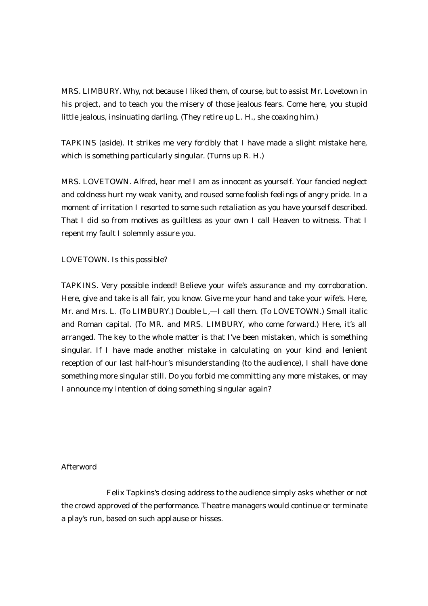MRS. LIMBURY. Why, not because I liked them, of course, but to assist Mr. Lovetown in his project, and to teach you the misery of those jealous fears. Come here, you stupid little jealous, insinuating darling. (They retire up L. H., she coaxing him.)

TAPKINS (aside). It strikes me very forcibly that I have made a slight mistake here, which is something particularly singular. (Turns up R. H.)

MRS. LOVETOWN. Alfred, hear me! I am as innocent as yourself. Your fancied neglect and coldness hurt my weak vanity, and roused some foolish feelings of angry pride. In a moment of irritation I resorted to some such retaliation as you have yourself described. That I did so from motives as guiltless as your own I call Heaven to witness. That I repent my fault I solemnly assure you.

### LOVETOWN. Is this possible?

TAPKINS. Very possible indeed! Believe your wife's assurance and my corroboration. Here, give and take is all fair, you know. Give me your hand and take your wife's. Here, Mr. and Mrs. L. (To LIMBURY.) Double L,—I call them. (To LOVETOWN.) Small italic and Roman capital. (To MR. and MRS. LIMBURY, who come forward.) Here, it's all arranged. The key to the whole matter is that I've been mistaken, which is something singular. If I have made another mistake in calculating on your kind and lenient reception of our last half-hour's misunderstanding (to the audience), I shall have done something more singular still. Do you forbid me committing any more mistakes, or may I announce my intention of doing something singular again?

#### **Afterword**

 Felix Tapkins's closing address to the audience simply asks whether or not the crowd approved of the performance. Theatre managers would continue or terminate a play's run, based on such applause or hisses.